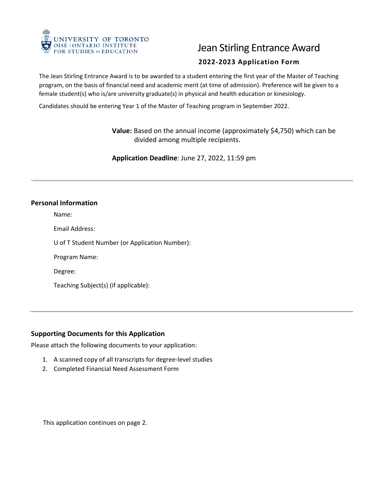

# Jean Stirling Entrance Award

## **2022-2023 Application Form**

 The Jean Stirling Entrance Award is to be awarded to a student entering the first year of the Master of Teaching program, on the basis of financial need and academic merit (at time of admission). Preference will be given to a female student(s) who is/are university graduate(s) in physical and health education or kinesiology.

Candidates should be entering Year 1 of the Master of Teaching program in September 2022.

**Value:** Based on the annual income (approximately \$4,750) which can be divided among multiple recipients.

**Application Deadline**: June 27, 2022, 11:59 pm

#### **Personal Information**

Name:

Email Address:

U of T Student Number (or Application Number):

Program Name:

Degree:

Teaching Subject(s) (if applicable):

### $\overline{a}$ **Supporting Documents for this Application**

Please attach the following documents to your application:

- 1. A scanned copy of all transcripts for degree-level studies
- 2. Completed Financial Need Assessment Form

This application continues on page 2.